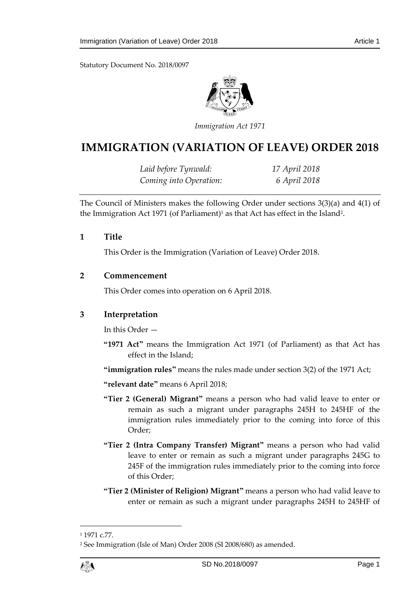Statutory Document No. 2018/0097



*Immigration Act 1971*

# **IMMIGRATION (VARIATION OF LEAVE) ORDER 2018**

*Laid before Tynwald: 17 April 2018 Coming into Operation: 6 April 2018*

The Council of Ministers makes the following Order under sections 3(3)(a) and 4(1) of the Immigration Act 1971 (of Parliament)<sup>1</sup> as that Act has effect in the Island<sup>2</sup>.

**1 Title**

This Order is the Immigration (Variation of Leave) Order 2018.

### **2 Commencement**

This Order comes into operation on 6 April 2018.

### **3 Interpretation**

In this Order —

**"1971 Act"** means the Immigration Act 1971 (of Parliament) as that Act has effect in the Island;

**"immigration rules"** means the rules made under section 3(2) of the 1971 Act;

**"relevant date"** means 6 April 2018;

- **"Tier 2 (General) Migrant"** means a person who had valid leave to enter or remain as such a migrant under paragraphs 245H to 245HF of the immigration rules immediately prior to the coming into force of this Order;
- **"Tier 2 (Intra Company Transfer) Migrant"** means a person who had valid leave to enter or remain as such a migrant under paragraphs 245G to 245F of the immigration rules immediately prior to the coming into force of this Order;
- **"Tier 2 (Minister of Religion) Migrant"** means a person who had valid leave to enter or remain as such a migrant under paragraphs 245H to 245HF of

 $\overline{a}$ 

<sup>&</sup>lt;sup>1</sup> 1971 c.77.

<sup>2</sup> See Immigration (Isle of Man) Order 2008 (SI 2008/680) as amended.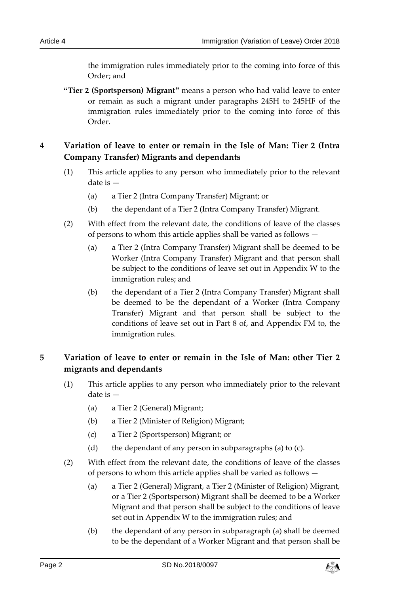the immigration rules immediately prior to the coming into force of this Order; and

**"Tier 2 (Sportsperson) Migrant"** means a person who had valid leave to enter or remain as such a migrant under paragraphs 245H to 245HF of the immigration rules immediately prior to the coming into force of this Order.

## **4 Variation of leave to enter or remain in the Isle of Man: Tier 2 (Intra Company Transfer) Migrants and dependants**

- (1) This article applies to any person who immediately prior to the relevant date is —
	- (a) a Tier 2 (Intra Company Transfer) Migrant; or
	- (b) the dependant of a Tier 2 (Intra Company Transfer) Migrant.
- (2) With effect from the relevant date, the conditions of leave of the classes of persons to whom this article applies shall be varied as follows —
	- (a) a Tier 2 (Intra Company Transfer) Migrant shall be deemed to be Worker (Intra Company Transfer) Migrant and that person shall be subject to the conditions of leave set out in Appendix W to the immigration rules; and
	- (b) the dependant of a Tier 2 (Intra Company Transfer) Migrant shall be deemed to be the dependant of a Worker (Intra Company Transfer) Migrant and that person shall be subject to the conditions of leave set out in Part 8 of, and Appendix FM to, the immigration rules.

# **5 Variation of leave to enter or remain in the Isle of Man: other Tier 2 migrants and dependants**

- (1) This article applies to any person who immediately prior to the relevant date is —
	- (a) a Tier 2 (General) Migrant;
	- (b) a Tier 2 (Minister of Religion) Migrant;
	- (c) a Tier 2 (Sportsperson) Migrant; or
	- (d) the dependant of any person in subparagraphs (a) to (c).
- (2) With effect from the relevant date, the conditions of leave of the classes of persons to whom this article applies shall be varied as follows —
	- (a) a Tier 2 (General) Migrant, a Tier 2 (Minister of Religion) Migrant, or a Tier 2 (Sportsperson) Migrant shall be deemed to be a Worker Migrant and that person shall be subject to the conditions of leave set out in Appendix W to the immigration rules; and
	- (b) the dependant of any person in subparagraph (a) shall be deemed to be the dependant of a Worker Migrant and that person shall be

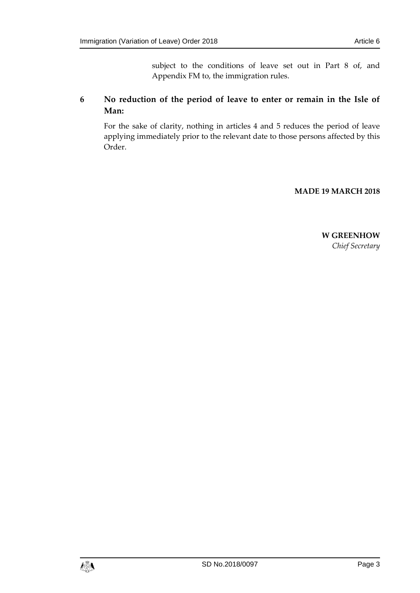subject to the conditions of leave set out in Part 8 of, and Appendix FM to, the immigration rules.

### **6 No reduction of the period of leave to enter or remain in the Isle of Man:**

For the sake of clarity, nothing in articles 4 and 5 reduces the period of leave applying immediately prior to the relevant date to those persons affected by this Order.

### **MADE 19 MARCH 2018**

**W GREENHOW** *Chief Secretary*